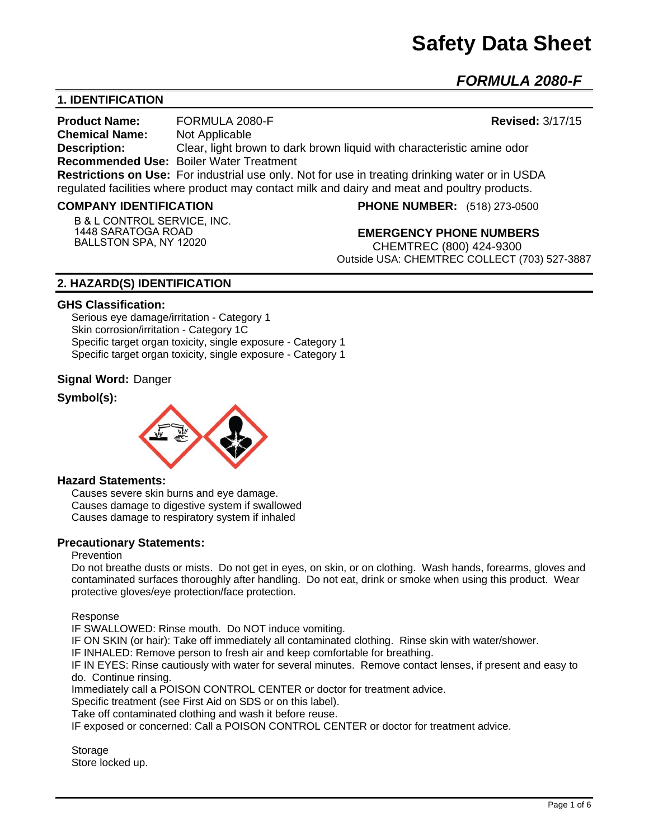# **Safety Data Sheet**

*FORMULA 2080-F* 

# **1. IDENTIFICATION**

**Product Name:** FORMULA 2080-F **Revised:** 3/17/15 **Chemical Name:** Not Applicable **Description:** Clear, light brown to dark brown liquid with characteristic amine odor **Recommended Use:** Boiler Water Treatment **Restrictions on Use:** For industrial use only. Not for use in treating drinking water or in USDA regulated facilities where product may contact milk and dairy and meat and poultry products.

#### **COMPANY IDENTIFICATION**

**B & L CONTROL SERVICE, INC. 1448 SARATOGA ROAD BALLSTON SPA, NY 12020**

**PHONE NUMBER:** (518) 273-0500

**EMERGENCY PHONE NUMBERS**

CHEMTREC (800) 424-9300 Outside USA: CHEMTREC COLLECT (703) 527-3887

# **2. HAZARD(S) IDENTIFICATION**

#### **GHS Classification:**

Serious eye damage/irritation - Category 1 Skin corrosion/irritation - Category 1C Specific target organ toxicity, single exposure - Category 1 Specific target organ toxicity, single exposure - Category 1

#### **Signal Word:** Danger

# **Symbol(s):**



#### **Hazard Statements:**

Causes severe skin burns and eye damage. Causes damage to digestive system if swallowed Causes damage to respiratory system if inhaled

#### **Precautionary Statements:**

#### Prevention

Do not breathe dusts or mists. Do not get in eyes, on skin, or on clothing. Wash hands, forearms, gloves and contaminated surfaces thoroughly after handling. Do not eat, drink or smoke when using this product. Wear protective gloves/eye protection/face protection.

Response

IF SWALLOWED: Rinse mouth. Do NOT induce vomiting.

IF ON SKIN (or hair): Take off immediately all contaminated clothing. Rinse skin with water/shower.

IF INHALED: Remove person to fresh air and keep comfortable for breathing.

IF IN EYES: Rinse cautiously with water for several minutes. Remove contact lenses, if present and easy to do. Continue rinsing.

Immediately call a POISON CONTROL CENTER or doctor for treatment advice.

Specific treatment (see First Aid on SDS or on this label).

Take off contaminated clothing and wash it before reuse.

IF exposed or concerned: Call a POISON CONTROL CENTER or doctor for treatment advice.

**Storage** Store locked up.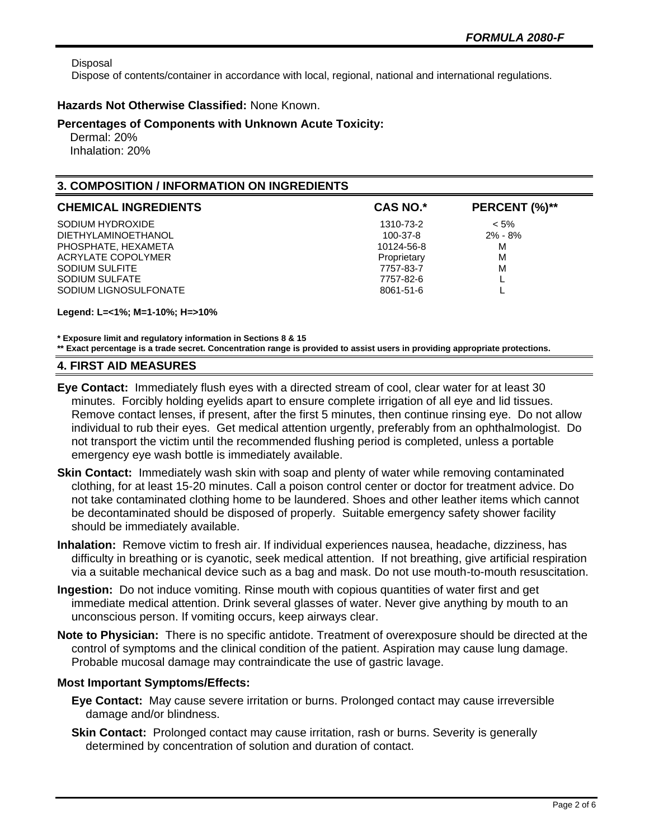Disposal

Dispose of contents/container in accordance with local, regional, national and international regulations.

#### **Hazards Not Otherwise Classified:** None Known.

#### **Percentages of Components with Unknown Acute Toxicity:**

 Dermal: 20% Inhalation: 20%

# **3. COMPOSITION / INFORMATION ON INGREDIENTS**

| <b>CHEMICAL INGREDIENTS</b> | <b>CAS NO.*</b> | PERCENT (%)** |
|-----------------------------|-----------------|---------------|
| SODIUM HYDROXIDE            | 1310-73-2       | $< 5\%$       |
| <b>DIETHYLAMINOETHANOL</b>  | 100-37-8        | $2\% - 8\%$   |
| PHOSPHATE, HEXAMETA         | 10124-56-8      | M             |
| ACRYLATE COPOLYMER          | Proprietary     | M             |
| SODIUM SULFITE              | 7757-83-7       | M             |
| SODIUM SULFATE              | 7757-82-6       |               |
| SODIUM LIGNOSULFONATE       | 8061-51-6       |               |

**Legend: L=<1%; M=1-10%; H=>10%**

**\* Exposure limit and regulatory information in Sections 8 & 15 \*\* Exact percentage is a trade secret. Concentration range is provided to assist users in providing appropriate protections.**

#### **4. FIRST AID MEASURES**

- **Eye Contact:** Immediately flush eyes with a directed stream of cool, clear water for at least 30 minutes. Forcibly holding eyelids apart to ensure complete irrigation of all eye and lid tissues. Remove contact lenses, if present, after the first 5 minutes, then continue rinsing eye. Do not allow individual to rub their eyes. Get medical attention urgently, preferably from an ophthalmologist. Do not transport the victim until the recommended flushing period is completed, unless a portable emergency eye wash bottle is immediately available.
- **Skin Contact:** Immediately wash skin with soap and plenty of water while removing contaminated clothing, for at least 15-20 minutes. Call a poison control center or doctor for treatment advice. Do not take contaminated clothing home to be laundered. Shoes and other leather items which cannot be decontaminated should be disposed of properly. Suitable emergency safety shower facility should be immediately available.
- **Inhalation:** Remove victim to fresh air. If individual experiences nausea, headache, dizziness, has difficulty in breathing or is cyanotic, seek medical attention. If not breathing, give artificial respiration via a suitable mechanical device such as a bag and mask. Do not use mouth-to-mouth resuscitation.
- **Ingestion:** Do not induce vomiting. Rinse mouth with copious quantities of water first and get immediate medical attention. Drink several glasses of water. Never give anything by mouth to an unconscious person. If vomiting occurs, keep airways clear.
- **Note to Physician:** There is no specific antidote. Treatment of overexposure should be directed at the control of symptoms and the clinical condition of the patient. Aspiration may cause lung damage. Probable mucosal damage may contraindicate the use of gastric lavage.

#### **Most Important Symptoms/Effects:**

- **Eye Contact:** May cause severe irritation or burns. Prolonged contact may cause irreversible damage and/or blindness.
- **Skin Contact:** Prolonged contact may cause irritation, rash or burns. Severity is generally determined by concentration of solution and duration of contact.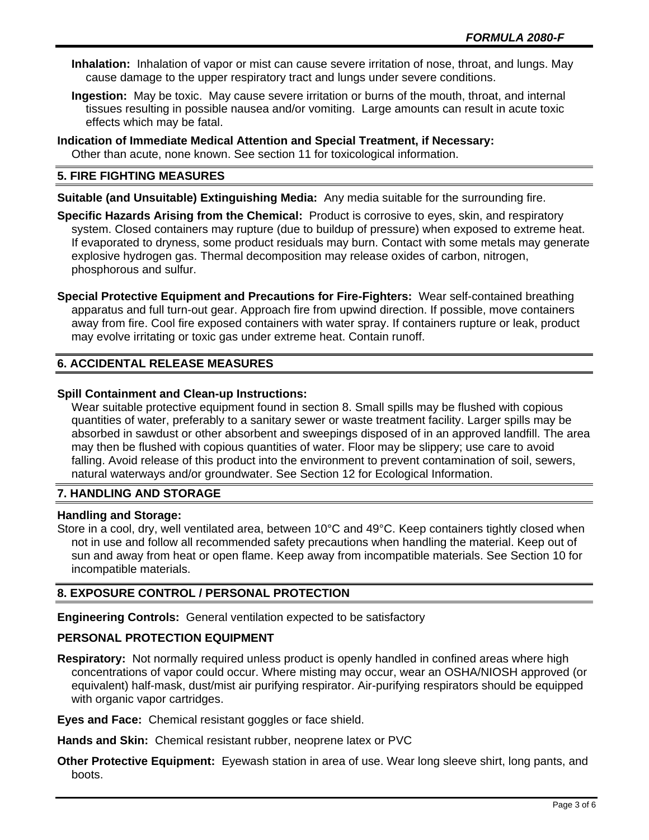- **Inhalation:** Inhalation of vapor or mist can cause severe irritation of nose, throat, and lungs. May cause damage to the upper respiratory tract and lungs under severe conditions.
- **Ingestion:** May be toxic. May cause severe irritation or burns of the mouth, throat, and internal tissues resulting in possible nausea and/or vomiting. Large amounts can result in acute toxic effects which may be fatal.
- **Indication of Immediate Medical Attention and Special Treatment, if Necessary:** Other than acute, none known. See section 11 for toxicological information.

# **5. FIRE FIGHTING MEASURES**

**Suitable (and Unsuitable) Extinguishing Media:** Any media suitable for the surrounding fire.

**Specific Hazards Arising from the Chemical:** Product is corrosive to eyes, skin, and respiratory system. Closed containers may rupture (due to buildup of pressure) when exposed to extreme heat. If evaporated to dryness, some product residuals may burn. Contact with some metals may generate explosive hydrogen gas. Thermal decomposition may release oxides of carbon, nitrogen, phosphorous and sulfur.

**Special Protective Equipment and Precautions for Fire-Fighters:** Wear self-contained breathing apparatus and full turn-out gear. Approach fire from upwind direction. If possible, move containers away from fire. Cool fire exposed containers with water spray. If containers rupture or leak, product may evolve irritating or toxic gas under extreme heat. Contain runoff.

# **6. ACCIDENTAL RELEASE MEASURES**

#### **Spill Containment and Clean-up Instructions:**

Wear suitable protective equipment found in section 8. Small spills may be flushed with copious quantities of water, preferably to a sanitary sewer or waste treatment facility. Larger spills may be absorbed in sawdust or other absorbent and sweepings disposed of in an approved landfill. The area may then be flushed with copious quantities of water. Floor may be slippery; use care to avoid falling. Avoid release of this product into the environment to prevent contamination of soil, sewers, natural waterways and/or groundwater. See Section 12 for Ecological Information.

#### **7. HANDLING AND STORAGE**

#### **Handling and Storage:**

Store in a cool, dry, well ventilated area, between 10°C and 49°C. Keep containers tightly closed when not in use and follow all recommended safety precautions when handling the material. Keep out of sun and away from heat or open flame. Keep away from incompatible materials. See Section 10 for incompatible materials.

#### **8. EXPOSURE CONTROL / PERSONAL PROTECTION**

**Engineering Controls:** General ventilation expected to be satisfactory

#### **PERSONAL PROTECTION EQUIPMENT**

**Respiratory:** Not normally required unless product is openly handled in confined areas where high concentrations of vapor could occur. Where misting may occur, wear an OSHA/NIOSH approved (or equivalent) half-mask, dust/mist air purifying respirator. Air-purifying respirators should be equipped with organic vapor cartridges.

**Eyes and Face:** Chemical resistant goggles or face shield.

**Hands and Skin:** Chemical resistant rubber, neoprene latex or PVC

**Other Protective Equipment:** Eyewash station in area of use. Wear long sleeve shirt, long pants, and boots.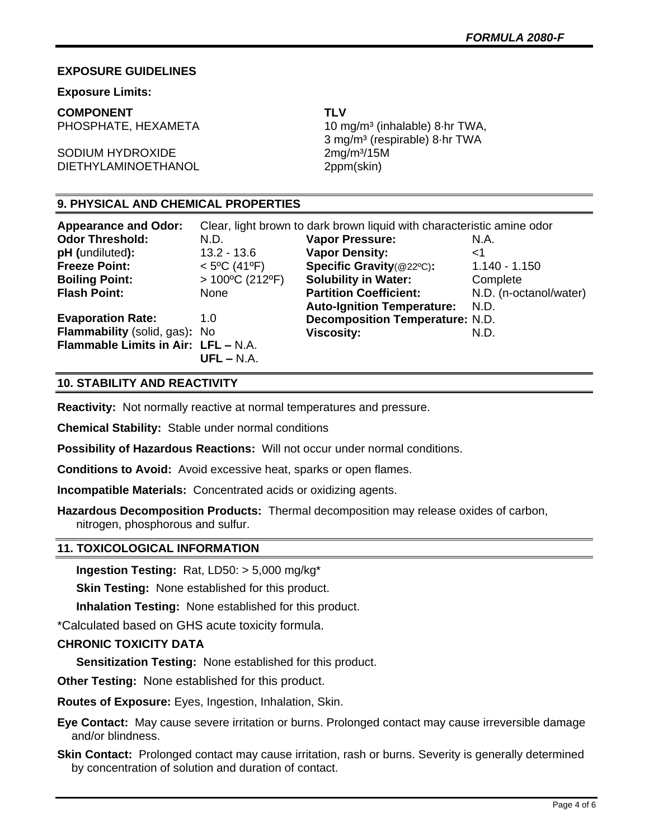#### **EXPOSURE GUIDELINES**

#### **Exposure Limits:**

**COMPONENT TLV**

SODIUM HYDROXIDE 2mg/m<sup>3</sup>/15M DIETHYLAMINOETHANOL 2ppm(skin)

PHOSPHATE, HEXAMETA 10 mg/m<sup>3</sup> (inhalable) 8·hr TWA, 3 mg/m³ (respirable) 8·hr TWA

# **9. PHYSICAL AND CHEMICAL PROPERTIES**

| <b>Appearance and Odor:</b>         | Clear, light brown to dark brown liquid with characteristic amine odor |                                        |                        |
|-------------------------------------|------------------------------------------------------------------------|----------------------------------------|------------------------|
| <b>Odor Threshold:</b>              | N.D.                                                                   | <b>Vapor Pressure:</b>                 | N.A.                   |
| pH (undiluted):                     | $13.2 - 13.6$                                                          | <b>Vapor Density:</b>                  | ا>                     |
| <b>Freeze Point:</b>                | $< 5^{\circ}$ C (41°F)                                                 | Specific Gravity(@22°C):               | $1.140 - 1.150$        |
| <b>Boiling Point:</b>               | $>100^{\circ}$ C (212°F)                                               | <b>Solubility in Water:</b>            | Complete               |
| <b>Flash Point:</b>                 | None                                                                   | <b>Partition Coefficient:</b>          | N.D. (n-octanol/water) |
|                                     |                                                                        | <b>Auto-Ignition Temperature:</b>      | N.D.                   |
| <b>Evaporation Rate:</b>            | 1.0                                                                    | <b>Decomposition Temperature: N.D.</b> |                        |
| Flammability (solid, gas): No       |                                                                        | <b>Viscosity:</b>                      | N.D.                   |
| Flammable Limits in Air: LFL - N.A. |                                                                        |                                        |                        |
|                                     | $UFL - N.A.$                                                           |                                        |                        |

## **10. STABILITY AND REACTIVITY**

**Reactivity:** Not normally reactive at normal temperatures and pressure.

**Chemical Stability:** Stable under normal conditions

**Possibility of Hazardous Reactions:** Will not occur under normal conditions.

**Conditions to Avoid:** Avoid excessive heat, sparks or open flames.

**Incompatible Materials:** Concentrated acids or oxidizing agents.

**Hazardous Decomposition Products:** Thermal decomposition may release oxides of carbon, nitrogen, phosphorous and sulfur.

#### **11. TOXICOLOGICAL INFORMATION**

**Ingestion Testing:** Rat, LD50: > 5,000 mg/kg\*

**Skin Testing:** None established for this product.

**Inhalation Testing:** None established for this product.

\*Calculated based on GHS acute toxicity formula.

# **CHRONIC TOXICITY DATA**

**Sensitization Testing:** None established for this product.

**Other Testing:** None established for this product.

**Routes of Exposure:** Eyes, Ingestion, Inhalation, Skin.

**Eye Contact:** May cause severe irritation or burns. Prolonged contact may cause irreversible damage and/or blindness.

**Skin Contact:** Prolonged contact may cause irritation, rash or burns. Severity is generally determined by concentration of solution and duration of contact.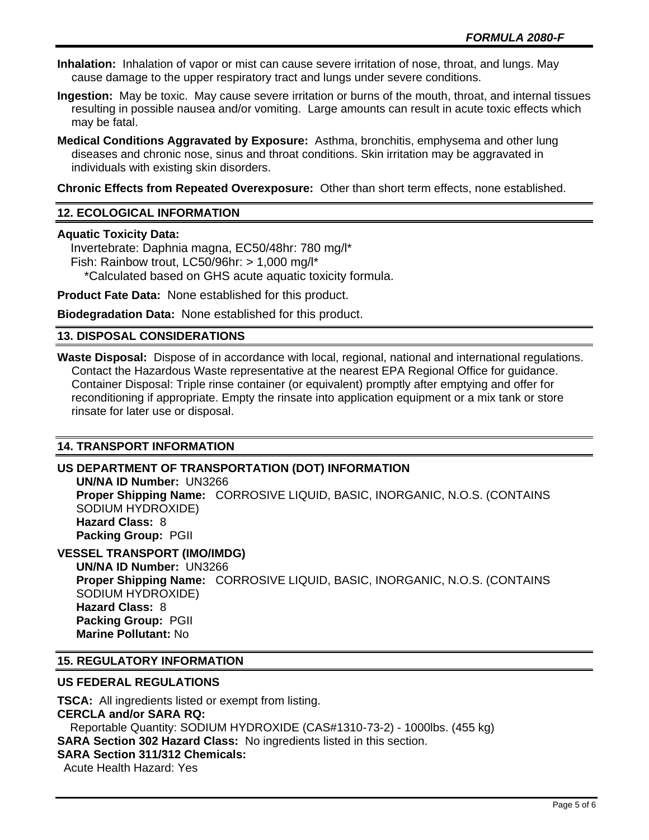**Inhalation:** Inhalation of vapor or mist can cause severe irritation of nose, throat, and lungs. May cause damage to the upper respiratory tract and lungs under severe conditions.

**Ingestion:** May be toxic. May cause severe irritation or burns of the mouth, throat, and internal tissues resulting in possible nausea and/or vomiting. Large amounts can result in acute toxic effects which may be fatal.

**Medical Conditions Aggravated by Exposure:** Asthma, bronchitis, emphysema and other lung diseases and chronic nose, sinus and throat conditions. Skin irritation may be aggravated in individuals with existing skin disorders.

**Chronic Effects from Repeated Overexposure:** Other than short term effects, none established.

# **12. ECOLOGICAL INFORMATION**

#### **Aquatic Toxicity Data:**

 Invertebrate: Daphnia magna, EC50/48hr: 780 mg/l\* Fish: Rainbow trout, LC50/96hr: > 1,000 mg/l\* \*Calculated based on GHS acute aquatic toxicity formula.

**Product Fate Data:** None established for this product.

**Biodegradation Data:** None established for this product.

## **13. DISPOSAL CONSIDERATIONS**

**Waste Disposal:** Dispose of in accordance with local, regional, national and international regulations. Contact the Hazardous Waste representative at the nearest EPA Regional Office for guidance. Container Disposal: Triple rinse container (or equivalent) promptly after emptying and offer for reconditioning if appropriate. Empty the rinsate into application equipment or a mix tank or store rinsate for later use or disposal.

# **14. TRANSPORT INFORMATION**

# **US DEPARTMENT OF TRANSPORTATION (DOT) INFORMATION**

**UN/NA ID Number:** UN3266 **Proper Shipping Name:** CORROSIVE LIQUID, BASIC, INORGANIC, N.O.S. (CONTAINS SODIUM HYDROXIDE) **Hazard Class:** 8 **Packing Group:** PGII

# **VESSEL TRANSPORT (IMO/IMDG)**

**UN/NA ID Number:** UN3266 **Proper Shipping Name:** CORROSIVE LIQUID, BASIC, INORGANIC, N.O.S. (CONTAINS SODIUM HYDROXIDE) **Hazard Class:** 8 **Packing Group:** PGII **Marine Pollutant:** No

#### **15. REGULATORY INFORMATION**

#### **US FEDERAL REGULATIONS**

**TSCA:** All ingredients listed or exempt from listing. **CERCLA and/or SARA RQ:**  Reportable Quantity: SODIUM HYDROXIDE (CAS#1310-73-2) - 1000lbs. (455 kg) **SARA Section 302 Hazard Class:** No ingredients listed in this section. **SARA Section 311/312 Chemicals:**  Acute Health Hazard: Yes